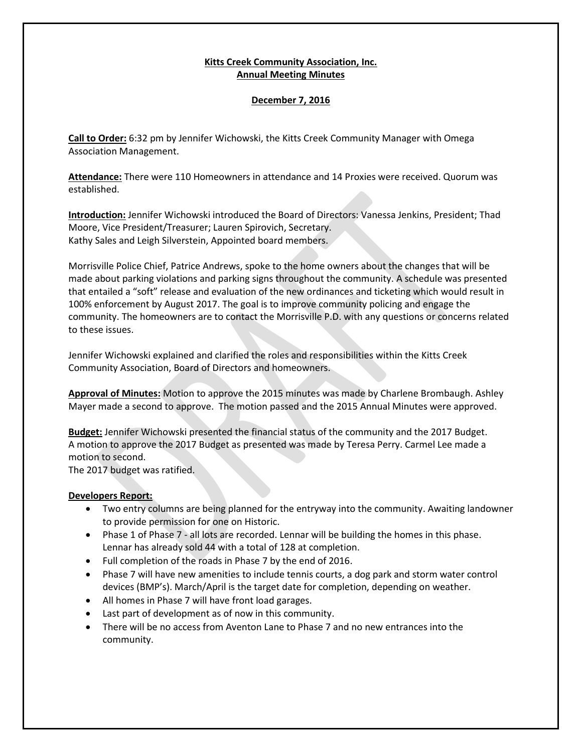## **Kitts Creek Community Association, Inc. Annual Meeting Minutes**

# **December 7, 2016**

**Call to Order:** 6:32 pm by Jennifer Wichowski, the Kitts Creek Community Manager with Omega Association Management.

**Attendance:** There were 110 Homeowners in attendance and 14 Proxies were received. Quorum was established.

**Introduction:** Jennifer Wichowski introduced the Board of Directors: Vanessa Jenkins, President; Thad Moore, Vice President/Treasurer; Lauren Spirovich, Secretary. Kathy Sales and Leigh Silverstein, Appointed board members.

Morrisville Police Chief, Patrice Andrews, spoke to the home owners about the changes that will be made about parking violations and parking signs throughout the community. A schedule was presented that entailed a "soft" release and evaluation of the new ordinances and ticketing which would result in 100% enforcement by August 2017. The goal is to improve community policing and engage the community. The homeowners are to contact the Morrisville P.D. with any questions or concerns related to these issues.

Jennifer Wichowski explained and clarified the roles and responsibilities within the Kitts Creek Community Association, Board of Directors and homeowners.

**Approval of Minutes:** Motion to approve the 2015 minutes was made by Charlene Brombaugh. Ashley Mayer made a second to approve. The motion passed and the 2015 Annual Minutes were approved.

**Budget:** Jennifer Wichowski presented the financial status of the community and the 2017 Budget. A motion to approve the 2017 Budget as presented was made by Teresa Perry. Carmel Lee made a motion to second.

The 2017 budget was ratified.

## **Developers Report:**

- Two entry columns are being planned for the entryway into the community. Awaiting landowner to provide permission for one on Historic.
- Phase 1 of Phase 7 all lots are recorded. Lennar will be building the homes in this phase. Lennar has already sold 44 with a total of 128 at completion.
- Full completion of the roads in Phase 7 by the end of 2016.
- Phase 7 will have new amenities to include tennis courts, a dog park and storm water control devices (BMP's). March/April is the target date for completion, depending on weather.
- All homes in Phase 7 will have front load garages.
- Last part of development as of now in this community.
- There will be no access from Aventon Lane to Phase 7 and no new entrances into the community.